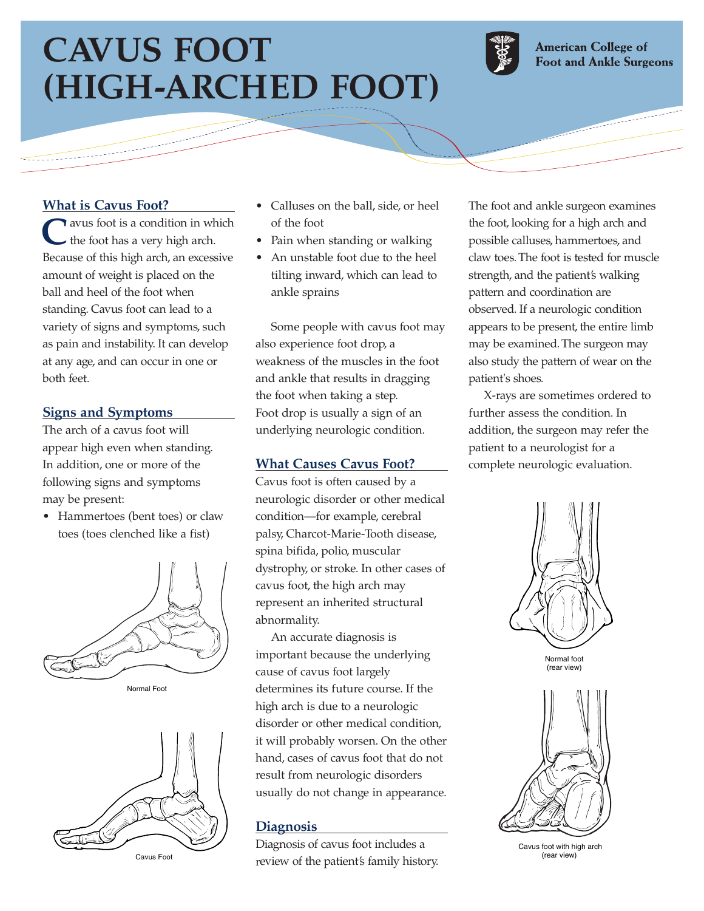# **CAVUS FOOT (HIGH-ARCHED FOOT)**



**American College of Foot and Ankle Surgeons** 

# **What is Cavus Foot?**

**T** avus foot is a condition in which the foot has a very high arch. Because of this high arch, an excessive amount of weight is placed on the ball and heel of the foot when standing. Cavus foot can lead to a variety of signs and symptoms, such as pain and instability. It can develop at any age, and can occur in one or both feet.

## **Signs and Symptoms**

The arch of a cavus foot will appear high even when standing. In addition, one or more of the following signs and symptoms may be present:

• Hammertoes (bent toes) or claw toes (toes clenched like a fist)







Cavus Foot

- Calluses on the ball, side, or heel of the foot
- Pain when standing or walking
- An unstable foot due to the heel tilting inward, which can lead to ankle sprains

Some people with cavus foot may also experience foot drop, a weakness of the muscles in the foot and ankle that results in dragging the foot when taking a step. Foot drop is usually a sign of an underlying neurologic condition.

#### **What Causes Cavus Foot?**

Cavus foot is often caused by a neurologic disorder or other medical condition—for example, cerebral palsy, Charcot-Marie-Tooth disease, spina bifida, polio, muscular dystrophy, or stroke. In other cases of cavus foot, the high arch may represent an inherited structural abnormality.

An accurate diagnosis is important because the underlying cause of cavus foot largely determines its future course. If the high arch is due to a neurologic disorder or other medical condition, it will probably worsen. On the other hand, cases of cavus foot that do not result from neurologic disorders usually do not change in appearance.

#### **Diagnosis**

Diagnosis of cavus foot includes a review of the patient's family history.

The foot and ankle surgeon examines the foot, looking for a high arch and possible calluses, hammertoes, and claw toes. The foot is tested for muscle strength, and the patient's walking pattern and coordination are observed. If a neurologic condition appears to be present, the entire limb may be examined. The surgeon may also study the pattern of wear on the patient's shoes.

X-rays are sometimes ordered to further assess the condition. In addition, the surgeon may refer the patient to a neurologist for a complete neurologic evaluation.



Cavus foot with high arch (rear view)